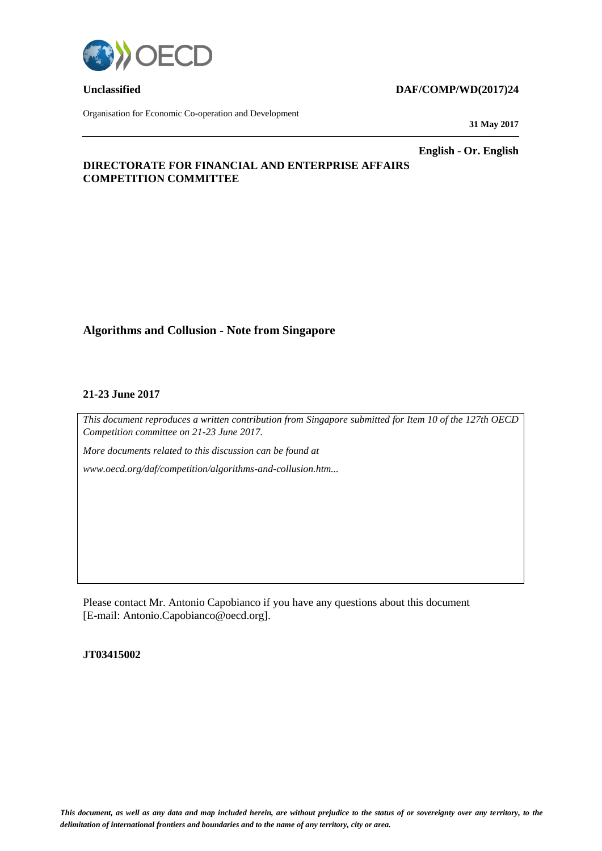

Organisation for Economic Co-operation and Development

## **Unclassified DAF/COMP/WD(2017)24**

**31 May 2017**

**English - Or. English**

## **DIRECTORATE FOR FINANCIAL AND ENTERPRISE AFFAIRS COMPETITION COMMITTEE**

## **Algorithms and Collusion - Note from Singapore**

### **21-23 June 2017**

*This document reproduces a written contribution from Singapore submitted for Item 10 of the 127th OECD Competition committee on 21-23 June 2017.*

*More documents related to this discussion can be found at* 

*www.oecd.org/daf/competition/algorithms-and-collusion.htm...*

Please contact Mr. Antonio Capobianco if you have any questions about this document [E-mail: Antonio.Capobianco@oecd.org].

## **JT03415002**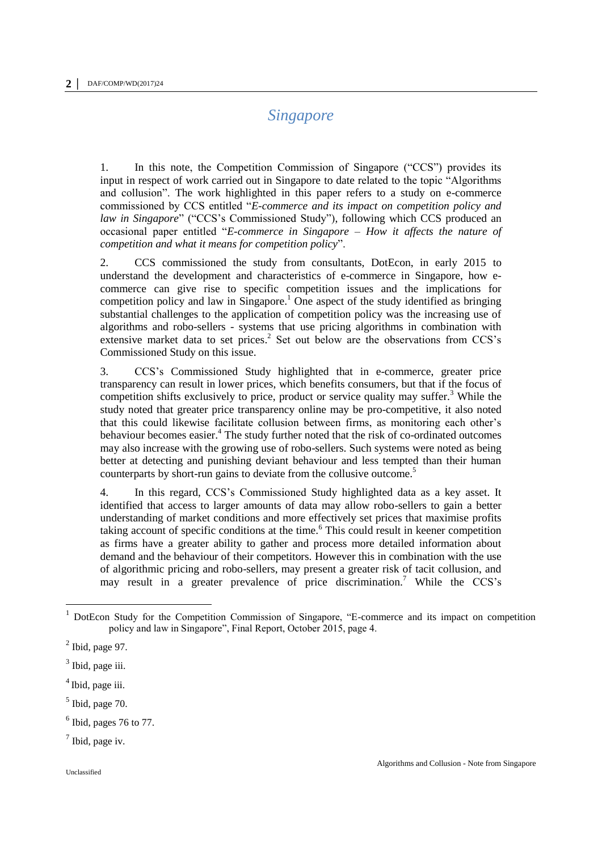# *Singapore*

1. In this note, the Competition Commission of Singapore ("CCS") provides its input in respect of work carried out in Singapore to date related to the topic "Algorithms and collusion". The work highlighted in this paper refers to a study on e-commerce commissioned by CCS entitled "*E-commerce and its impact on competition policy and law in Singapore*" ("CCS's Commissioned Study"), following which CCS produced an occasional paper entitled "*E-commerce in Singapore – How it affects the nature of competition and what it means for competition policy*".

2. CCS commissioned the study from consultants, DotEcon, in early 2015 to understand the development and characteristics of e-commerce in Singapore, how ecommerce can give rise to specific competition issues and the implications for competition policy and law in Singapore.<sup>1</sup> One aspect of the study identified as bringing substantial challenges to the application of competition policy was the increasing use of algorithms and robo-sellers - systems that use pricing algorithms in combination with extensive market data to set prices.<sup>2</sup> Set out below are the observations from CCS's Commissioned Study on this issue.

3. CCS's Commissioned Study highlighted that in e-commerce, greater price transparency can result in lower prices, which benefits consumers, but that if the focus of competition shifts exclusively to price, product or service quality may suffer.<sup>3</sup> While the study noted that greater price transparency online may be pro-competitive, it also noted that this could likewise facilitate collusion between firms, as monitoring each other's behaviour becomes easier.<sup>4</sup> The study further noted that the risk of co-ordinated outcomes may also increase with the growing use of robo-sellers. Such systems were noted as being better at detecting and punishing deviant behaviour and less tempted than their human counterparts by short-run gains to deviate from the collusive outcome.<sup>5</sup>

4. In this regard, CCS's Commissioned Study highlighted data as a key asset. It identified that access to larger amounts of data may allow robo-sellers to gain a better understanding of market conditions and more effectively set prices that maximise profits taking account of specific conditions at the time.<sup>6</sup> This could result in keener competition as firms have a greater ability to gather and process more detailed information about demand and the behaviour of their competitors. However this in combination with the use of algorithmic pricing and robo-sellers, may present a greater risk of tacit collusion, and may result in a greater prevalence of price discrimination.<sup>7</sup> While the CCS's

 $\overline{a}$ 

<sup>&</sup>lt;sup>1</sup> DotEcon Study for the Competition Commission of Singapore, "E-commerce and its impact on competition policy and law in Singapore", Final Report, October 2015, page 4.

 $<sup>2</sup>$  Ibid, page 97.</sup>

<sup>&</sup>lt;sup>3</sup> Ibid, page iii.

<sup>&</sup>lt;sup>4</sup> Ibid, page iii.

 $<sup>5</sup>$  Ibid, page 70.</sup>

 $<sup>6</sup>$  Ibid, pages 76 to 77.</sup>

 $<sup>7</sup>$  Ibid, page iv.</sup>